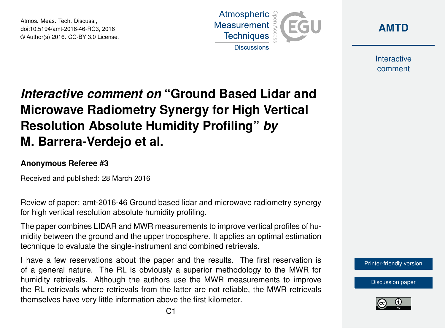Atmos. Meas. Tech. Discuss., doi:10.5194/amt-2016-46-RC3, 2016 © Author(s) 2016. CC-BY 3.0 License.





Interactive comment

## *Interactive comment on* **"Ground Based Lidar and Microwave Radiometry Synergy for High Vertical Resolution Absolute Humidity Profiling"** *by* **M. Barrera-Verdejo et al.**

## **Anonymous Referee #3**

Received and published: 28 March 2016

Review of paper: amt-2016-46 Ground based lidar and microwave radiometry synergy for high vertical resolution absolute humidity profiling.

The paper combines LIDAR and MWR measurements to improve vertical profiles of humidity between the ground and the upper troposphere. It applies an optimal estimation technique to evaluate the single-instrument and combined retrievals.

I have a few reservations about the paper and the results. The first reservation is of a general nature. The RL is obviously a superior methodology to the MWR for humidity retrievals. Although the authors use the MWR measurements to improve the RL retrievals where retrievals from the latter are not reliable, the MWR retrievals themselves have very little information above the first kilometer.



[Discussion paper](http://www.atmos-meas-tech-discuss.net/amt-2016-46)

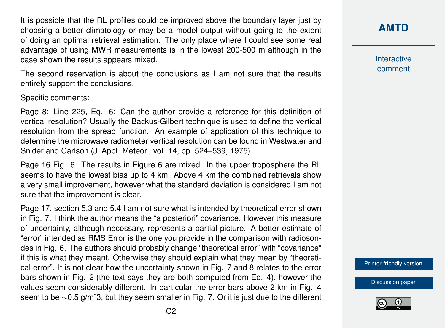It is possible that the RL profiles could be improved above the boundary layer just by choosing a better climatology or may be a model output without going to the extent of doing an optimal retrieval estimation. The only place where I could see some real advantage of using MWR measurements is in the lowest 200-500 m although in the case shown the results appears mixed.

The second reservation is about the conclusions as I am not sure that the results entirely support the conclusions.

Specific comments:

Page 8: Line 225, Eq. 6: Can the author provide a reference for this definition of vertical resolution? Usually the Backus-Gilbert technique is used to define the vertical resolution from the spread function. An example of application of this technique to determine the microwave radiometer vertical resolution can be found in Westwater and Snider and Carlson (J. Appl. Meteor., vol. 14, pp. 524–539, 1975).

Page 16 Fig. 6. The results in Figure 6 are mixed. In the upper troposphere the RL seems to have the lowest bias up to 4 km. Above 4 km the combined retrievals show a very small improvement, however what the standard deviation is considered I am not sure that the improvement is clear.

Page 17, section 5.3 and 5.4 I am not sure what is intended by theoretical error shown in Fig. 7. I think the author means the "a posteriori" covariance. However this measure of uncertainty, although necessary, represents a partial picture. A better estimate of "error" intended as RMS Error is the one you provide in the comparison with radiosondes in Fig. 6. The authors should probably change "theoretical error" with "covariance" if this is what they meant. Otherwise they should explain what they mean by "theoretical error". It is not clear how the uncertainty shown in Fig. 7 and 8 relates to the error bars shown in Fig. 2 (the text says they are both computed from Eq. 4), however the values seem considerably different. In particular the error bars above 2 km in Fig. 4 seem to be ∼0.5 g/mˆ3, but they seem smaller in Fig. 7. Or it is just due to the different **[AMTD](http://www.atmos-meas-tech-discuss.net/)**

Interactive comment

[Printer-friendly version](http://www.atmos-meas-tech-discuss.net/amt-2016-46/amt-2016-46-RC3-print.pdf)

[Discussion paper](http://www.atmos-meas-tech-discuss.net/amt-2016-46)